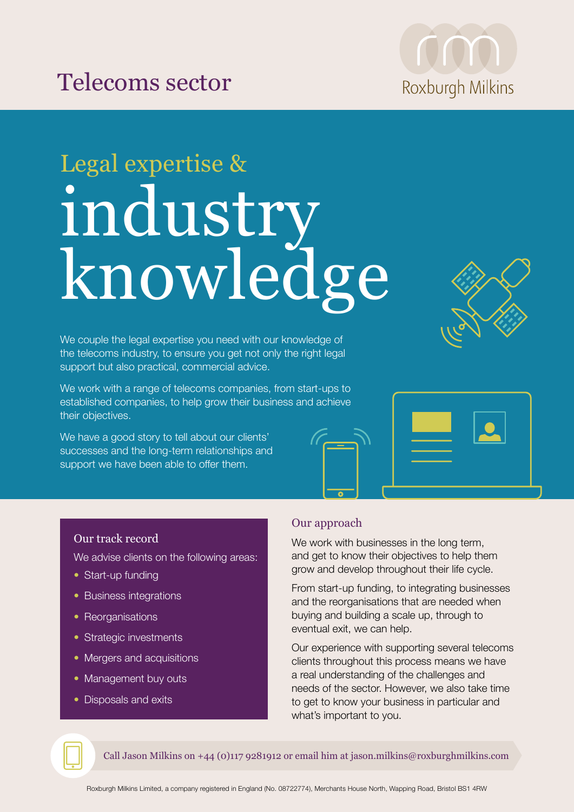



# Legal expertise & industry knowledge

We couple the legal expertise you need with our knowledge of the telecoms industry, to ensure you get not only the right legal support but also practical, commercial advice.

We work with a range of telecoms companies, from start-ups to established companies, to help grow their business and achieve their objectives.

We have a good story to tell about our clients' successes and the long-term relationships and support we have been able to offer them.





#### Our track record

We advise clients on the following areas:

- Start-up funding
- Business integrations
- Reorganisations
- Strategic investments
- Mergers and acquisitions
- Management buy outs
- Disposals and exits

## Our approach

We work with businesses in the long term, and get to know their objectives to help them grow and develop throughout their life cycle.

From start-up funding, to integrating businesses and the reorganisations that are needed when buying and building a scale up, through to eventual exit, we can help.

Our experience with supporting several telecoms clients throughout this process means we have a real understanding of the challenges and needs of the sector. However, we also take time to get to know your business in particular and what's important to you.

Call Jason Milkins on +44 (0)117 9281912 or email him at jason.milkins@roxburghmilkins.com